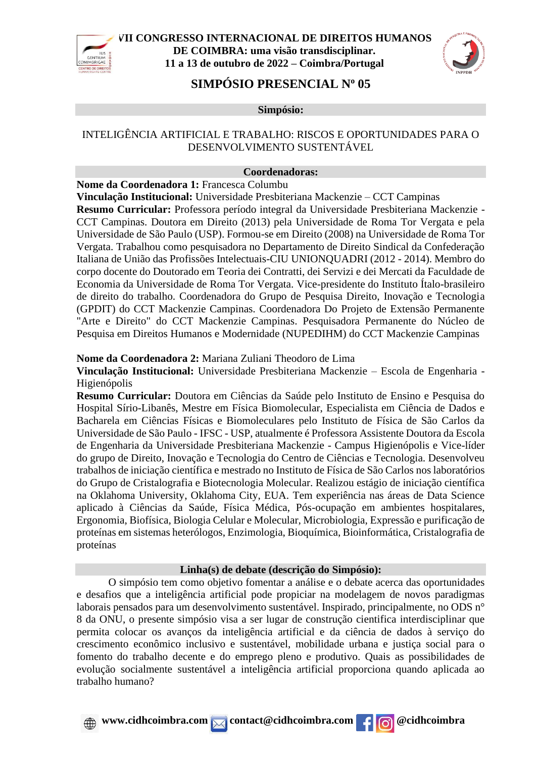



# **SIMPÓSIO PRESENCIAL N<sup>o</sup> 05**

**Simpósio:**

## INTELIGÊNCIA ARTIFICIAL E TRABALHO: RISCOS E OPORTUNIDADES PARA O DESENVOLVIMENTO SUSTENTÁVEL

### **Coordenadoras:**

**Nome da Coordenadora 1:** Francesca Columbu

**Vinculação Institucional:** Universidade Presbiteriana Mackenzie – CCT Campinas

**Resumo Curricular:** Professora período integral da Universidade Presbiteriana Mackenzie - CCT Campinas. Doutora em Direito (2013) pela Universidade de Roma Tor Vergata e pela Universidade de São Paulo (USP). Formou-se em Direito (2008) na Universidade de Roma Tor Vergata. Trabalhou como pesquisadora no Departamento de Direito Sindical da Confederação Italiana de União das Profissões Intelectuais-CIU UNIONQUADRI (2012 - 2014). Membro do corpo docente do Doutorado em Teoria dei Contratti, dei Servizi e dei Mercati da Faculdade de Economia da Universidade de Roma Tor Vergata. Vice-presidente do Instituto Ítalo-brasileiro de direito do trabalho. Coordenadora do Grupo de Pesquisa Direito, Inovação e Tecnologia (GPDIT) do CCT Mackenzie Campinas. Coordenadora Do Projeto de Extensão Permanente "Arte e Direito" do CCT Mackenzie Campinas. Pesquisadora Permanente do Núcleo de Pesquisa em Direitos Humanos e Modernidade (NUPEDIHM) do CCT Mackenzie Campinas

### **Nome da Coordenadora 2:** Mariana Zuliani Theodoro de Lima

**Vinculação Institucional:** Universidade Presbiteriana Mackenzie – Escola de Engenharia - Higienópolis

**Resumo Curricular:** Doutora em Ciências da Saúde pelo Instituto de Ensino e Pesquisa do Hospital Sírio-Libanês, Mestre em Física Biomolecular, Especialista em Ciência de Dados e Bacharela em Ciências Físicas e Biomoleculares pelo Instituto de Física de São Carlos da Universidade de São Paulo - IFSC - USP, atualmente é Professora Assistente Doutora da Escola de Engenharia da Universidade Presbiteriana Mackenzie - Campus Higienópolis e Vice-líder do grupo de Direito, Inovação e Tecnologia do Centro de Ciências e Tecnologia. Desenvolveu trabalhos de iniciação científica e mestrado no Instituto de Física de São Carlos nos laboratórios do Grupo de Cristalografia e Biotecnologia Molecular. Realizou estágio de iniciação científica na Oklahoma University, Oklahoma City, EUA. Tem experiência nas áreas de Data Science aplicado à Ciências da Saúde, Física Médica, Pós-ocupação em ambientes hospitalares, Ergonomia, Biofísica, Biologia Celular e Molecular, Microbiologia, Expressão e purificação de proteínas em sistemas heterólogos, Enzimologia, Bioquímica, Bioinformática, Cristalografia de proteínas

### **Linha(s) de debate (descrição do Simpósio):**

O simpósio tem como objetivo fomentar a análise e o debate acerca das oportunidades e desafios que a inteligência artificial pode propiciar na modelagem de novos paradigmas laborais pensados para um desenvolvimento sustentável. Inspirado, principalmente, no ODS n° 8 da ONU, o presente simpósio visa a ser lugar de construção cientifica interdisciplinar que permita colocar os avanços da inteligência artificial e da ciência de dados à serviço do crescimento econômico inclusivo e sustentável, mobilidade urbana e justiça social para o fomento do trabalho decente e do emprego pleno e produtivo. Quais as possibilidades de evolução socialmente sustentável a inteligência artificial proporciona quando aplicada ao trabalho humano?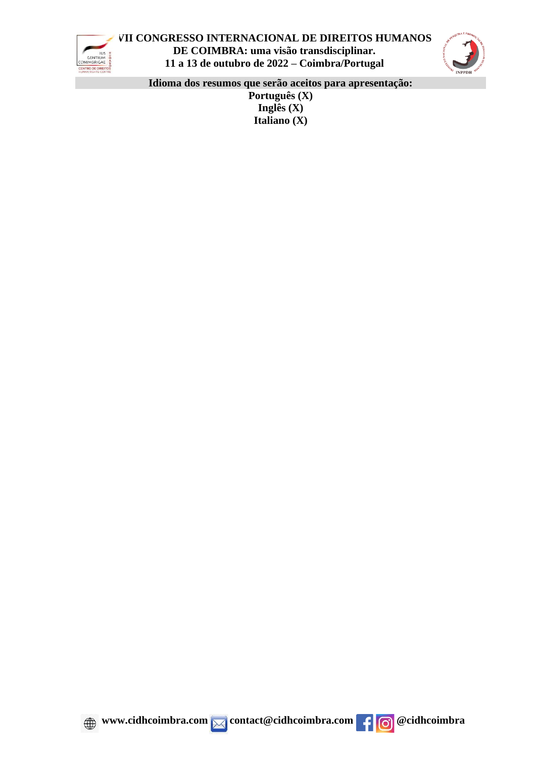



**Idioma dos resumos que serão aceitos para apresentação:**

**Português (X) Inglês (X) Italiano (X)**



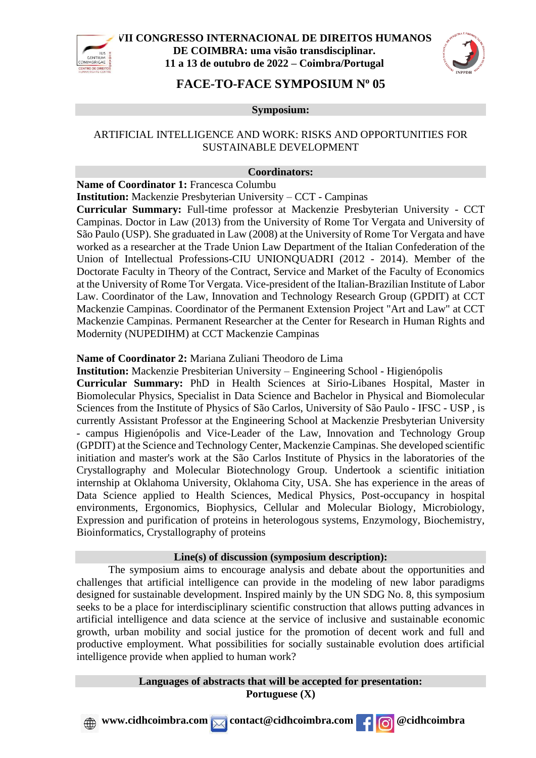



## **FACE-TO-FACE SYMPOSIUM N<sup>o</sup> 05**

**Symposium:**

### ARTIFICIAL INTELLIGENCE AND WORK: RISKS AND OPPORTUNITIES FOR SUSTAINABLE DEVELOPMENT

### **Coordinators:**

**Name of Coordinator 1:** Francesca Columbu

**Institution:** Mackenzie Presbyterian University – CCT - Campinas

**Curricular Summary:** Full-time professor at Mackenzie Presbyterian University - CCT Campinas. Doctor in Law (2013) from the University of Rome Tor Vergata and University of São Paulo (USP). She graduated in Law (2008) at the University of Rome Tor Vergata and have worked as a researcher at the Trade Union Law Department of the Italian Confederation of the Union of Intellectual Professions-CIU UNIONQUADRI (2012 - 2014). Member of the Doctorate Faculty in Theory of the Contract, Service and Market of the Faculty of Economics at the University of Rome Tor Vergata. Vice-president of the Italian-Brazilian Institute of Labor Law. Coordinator of the Law, Innovation and Technology Research Group (GPDIT) at CCT Mackenzie Campinas. Coordinator of the Permanent Extension Project "Art and Law" at CCT Mackenzie Campinas. Permanent Researcher at the Center for Research in Human Rights and Modernity (NUPEDIHM) at CCT Mackenzie Campinas

### **Name of Coordinator 2:** Mariana Zuliani Theodoro de Lima

**Institution:** Mackenzie Presbiterian University – Engineering School - Higienópolis **Curricular Summary:** PhD in Health Sciences at Sirio-Libanes Hospital, Master in Biomolecular Physics, Specialist in Data Science and Bachelor in Physical and Biomolecular Sciences from the Institute of Physics of São Carlos, University of São Paulo - IFSC - USP , is currently Assistant Professor at the Engineering School at Mackenzie Presbyterian University - campus Higienópolis and Vice-Leader of the Law, Innovation and Technology Group (GPDIT) at the Science and Technology Center, Mackenzie Campinas. She developed scientific initiation and master's work at the São Carlos Institute of Physics in the laboratories of the Crystallography and Molecular Biotechnology Group. Undertook a scientific initiation internship at Oklahoma University, Oklahoma City, USA. She has experience in the areas of Data Science applied to Health Sciences, Medical Physics, Post-occupancy in hospital environments, Ergonomics, Biophysics, Cellular and Molecular Biology, Microbiology, Expression and purification of proteins in heterologous systems, Enzymology, Biochemistry, Bioinformatics, Crystallography of proteins

#### **Line(s) of discussion (symposium description):**

The symposium aims to encourage analysis and debate about the opportunities and challenges that artificial intelligence can provide in the modeling of new labor paradigms designed for sustainable development. Inspired mainly by the UN SDG No. 8, this symposium seeks to be a place for interdisciplinary scientific construction that allows putting advances in artificial intelligence and data science at the service of inclusive and sustainable economic growth, urban mobility and social justice for the promotion of decent work and full and productive employment. What possibilities for socially sustainable evolution does artificial intelligence provide when applied to human work?

> **Languages of abstracts that will be accepted for presentation: Portuguese (X)**